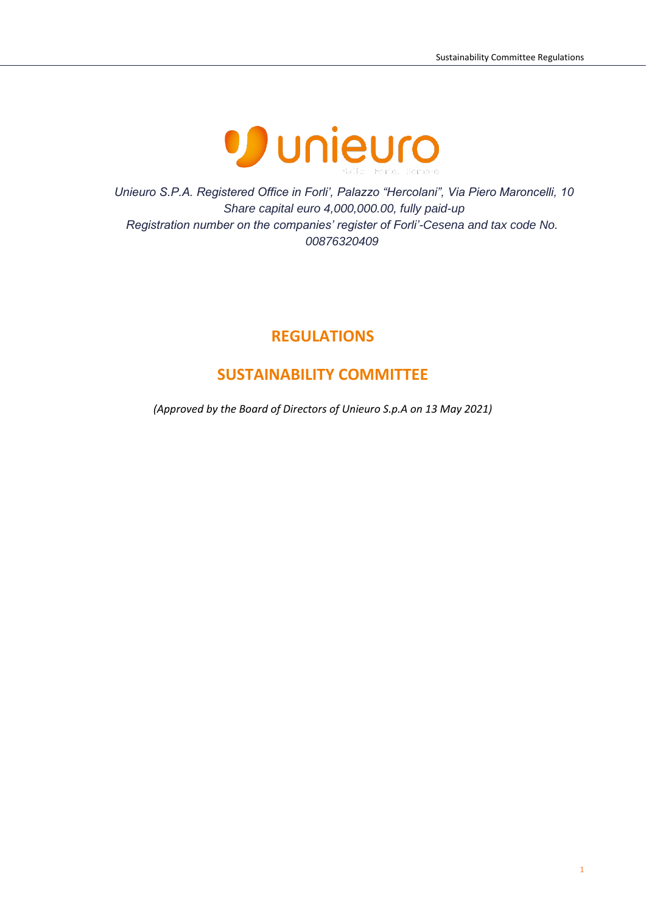

*Unieuro S.P.A. Registered Office in Forli', Palazzo "Hercolani", Via Piero Maroncelli, 10 Share capital euro 4,000,000.00, fully paid-up Registration number on the companies' register of Forli'-Cesena and tax code No. 00876320409*

## **REGULATIONS**

# **SUSTAINABILITY COMMITTEE**

*(Approved by the Board of Directors of Unieuro S.p.A on 13 May 2021)*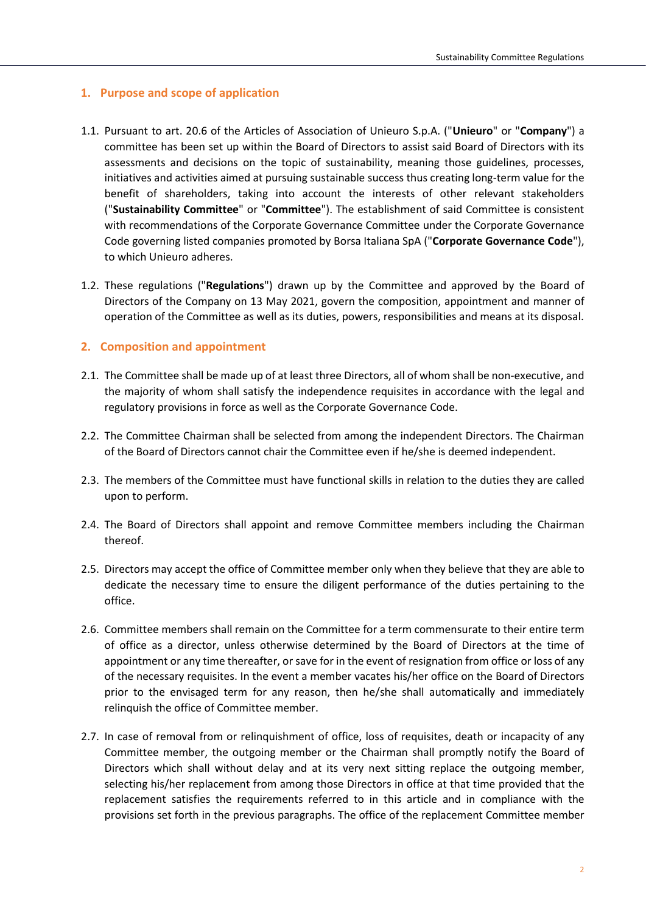## **1. Purpose and scope of application**

- 1.1. Pursuant to art. 20.6 of the Articles of Association of Unieuro S.p.A. ("**Unieuro**" or "**Company**") a committee has been set up within the Board of Directors to assist said Board of Directors with its assessments and decisions on the topic of sustainability, meaning those guidelines, processes, initiatives and activities aimed at pursuing sustainable success thus creating long-term value for the benefit of shareholders, taking into account the interests of other relevant stakeholders ("**Sustainability Committee**" or "**Committee**"). The establishment of said Committee is consistent with recommendations of the Corporate Governance Committee under the Corporate Governance Code governing listed companies promoted by Borsa Italiana SpA ("**Corporate Governance Code**"), to which Unieuro adheres.
- 1.2. These regulations ("**Regulations**") drawn up by the Committee and approved by the Board of Directors of the Company on 13 May 2021, govern the composition, appointment and manner of operation of the Committee as well as its duties, powers, responsibilities and means at its disposal.

## **2. Composition and appointment**

- 2.1. The Committee shall be made up of at least three Directors, all of whom shall be non-executive, and the majority of whom shall satisfy the independence requisites in accordance with the legal and regulatory provisions in force as well as the Corporate Governance Code.
- 2.2. The Committee Chairman shall be selected from among the independent Directors. The Chairman of the Board of Directors cannot chair the Committee even if he/she is deemed independent.
- 2.3. The members of the Committee must have functional skills in relation to the duties they are called upon to perform.
- 2.4. The Board of Directors shall appoint and remove Committee members including the Chairman thereof.
- 2.5. Directors may accept the office of Committee member only when they believe that they are able to dedicate the necessary time to ensure the diligent performance of the duties pertaining to the office.
- 2.6. Committee members shall remain on the Committee for a term commensurate to their entire term of office as a director, unless otherwise determined by the Board of Directors at the time of appointment or any time thereafter, or save for in the event of resignation from office or loss of any of the necessary requisites. In the event a member vacates his/her office on the Board of Directors prior to the envisaged term for any reason, then he/she shall automatically and immediately relinquish the office of Committee member.
- 2.7. In case of removal from or relinquishment of office, loss of requisites, death or incapacity of any Committee member, the outgoing member or the Chairman shall promptly notify the Board of Directors which shall without delay and at its very next sitting replace the outgoing member, selecting his/her replacement from among those Directors in office at that time provided that the replacement satisfies the requirements referred to in this article and in compliance with the provisions set forth in the previous paragraphs. The office of the replacement Committee member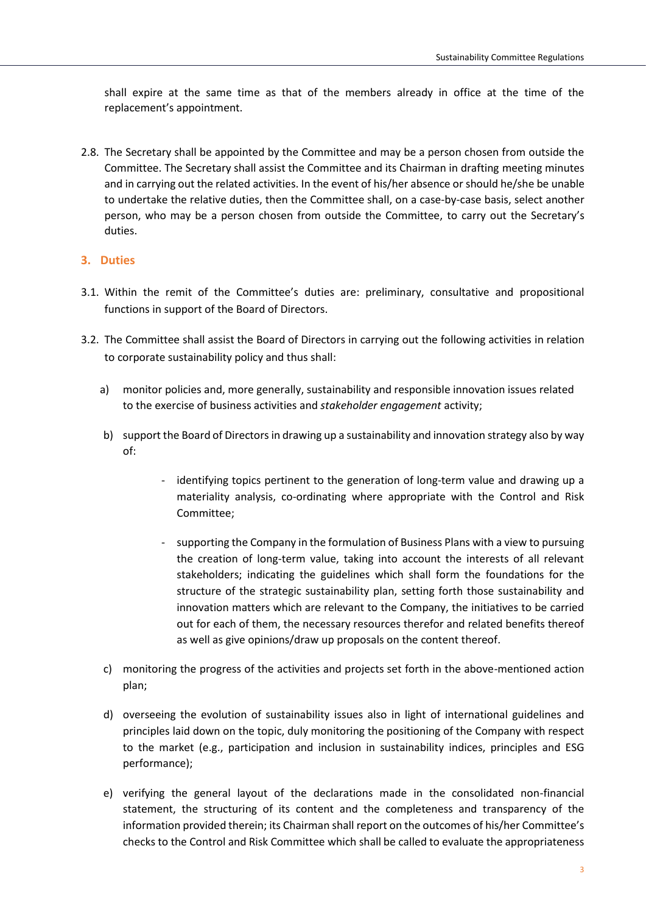shall expire at the same time as that of the members already in office at the time of the replacement's appointment.

2.8. The Secretary shall be appointed by the Committee and may be a person chosen from outside the Committee. The Secretary shall assist the Committee and its Chairman in drafting meeting minutes and in carrying out the related activities. In the event of his/her absence or should he/she be unable to undertake the relative duties, then the Committee shall, on a case-by-case basis, select another person, who may be a person chosen from outside the Committee, to carry out the Secretary's duties.

## **3. Duties**

- 3.1. Within the remit of the Committee's duties are: preliminary, consultative and propositional functions in support of the Board of Directors.
- 3.2. The Committee shall assist the Board of Directors in carrying out the following activities in relation to corporate sustainability policy and thus shall:
	- a) monitor policies and, more generally, sustainability and responsible innovation issues related to the exercise of business activities and *stakeholder engagement* activity;
	- b) support the Board of Directors in drawing up a sustainability and innovation strategy also by way of:
		- identifying topics pertinent to the generation of long-term value and drawing up a materiality analysis, co-ordinating where appropriate with the Control and Risk Committee;
		- supporting the Company in the formulation of Business Plans with a view to pursuing the creation of long-term value, taking into account the interests of all relevant stakeholders; indicating the guidelines which shall form the foundations for the structure of the strategic sustainability plan, setting forth those sustainability and innovation matters which are relevant to the Company, the initiatives to be carried out for each of them, the necessary resources therefor and related benefits thereof as well as give opinions/draw up proposals on the content thereof.
	- c) monitoring the progress of the activities and projects set forth in the above-mentioned action plan;
	- d) overseeing the evolution of sustainability issues also in light of international guidelines and principles laid down on the topic, duly monitoring the positioning of the Company with respect to the market (e.g., participation and inclusion in sustainability indices, principles and ESG performance);
	- e) verifying the general layout of the declarations made in the consolidated non-financial statement, the structuring of its content and the completeness and transparency of the information provided therein; its Chairman shall report on the outcomes of his/her Committee's checks to the Control and Risk Committee which shall be called to evaluate the appropriateness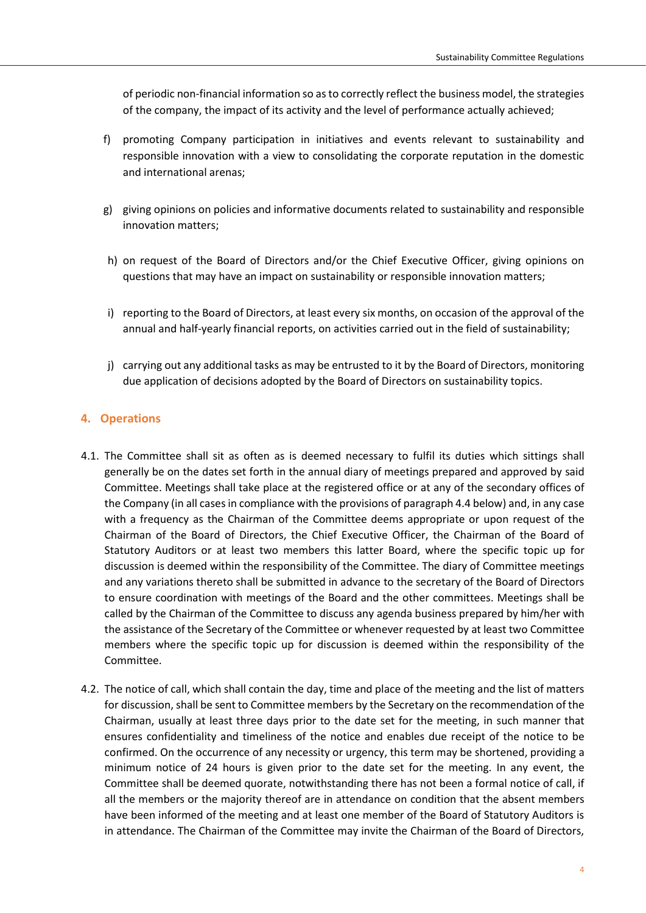of periodic non-financial information so as to correctly reflect the business model, the strategies of the company, the impact of its activity and the level of performance actually achieved;

- f) promoting Company participation in initiatives and events relevant to sustainability and responsible innovation with a view to consolidating the corporate reputation in the domestic and international arenas;
- g) giving opinions on policies and informative documents related to sustainability and responsible innovation matters;
- h) on request of the Board of Directors and/or the Chief Executive Officer, giving opinions on questions that may have an impact on sustainability or responsible innovation matters;
- i) reporting to the Board of Directors, at least every six months, on occasion of the approval of the annual and half-yearly financial reports, on activities carried out in the field of sustainability;
- j) carrying out any additional tasks as may be entrusted to it by the Board of Directors, monitoring due application of decisions adopted by the Board of Directors on sustainability topics.

## **4. Operations**

- 4.1. The Committee shall sit as often as is deemed necessary to fulfil its duties which sittings shall generally be on the dates set forth in the annual diary of meetings prepared and approved by said Committee. Meetings shall take place at the registered office or at any of the secondary offices of the Company (in all cases in compliance with the provisions of paragraph 4.4 below) and, in any case with a frequency as the Chairman of the Committee deems appropriate or upon request of the Chairman of the Board of Directors, the Chief Executive Officer, the Chairman of the Board of Statutory Auditors or at least two members this latter Board, where the specific topic up for discussion is deemed within the responsibility of the Committee. The diary of Committee meetings and any variations thereto shall be submitted in advance to the secretary of the Board of Directors to ensure coordination with meetings of the Board and the other committees. Meetings shall be called by the Chairman of the Committee to discuss any agenda business prepared by him/her with the assistance of the Secretary of the Committee or whenever requested by at least two Committee members where the specific topic up for discussion is deemed within the responsibility of the Committee.
- 4.2. The notice of call, which shall contain the day, time and place of the meeting and the list of matters for discussion, shall be sent to Committee members by the Secretary on the recommendation of the Chairman, usually at least three days prior to the date set for the meeting, in such manner that ensures confidentiality and timeliness of the notice and enables due receipt of the notice to be confirmed. On the occurrence of any necessity or urgency, this term may be shortened, providing a minimum notice of 24 hours is given prior to the date set for the meeting. In any event, the Committee shall be deemed quorate, notwithstanding there has not been a formal notice of call, if all the members or the majority thereof are in attendance on condition that the absent members have been informed of the meeting and at least one member of the Board of Statutory Auditors is in attendance. The Chairman of the Committee may invite the Chairman of the Board of Directors,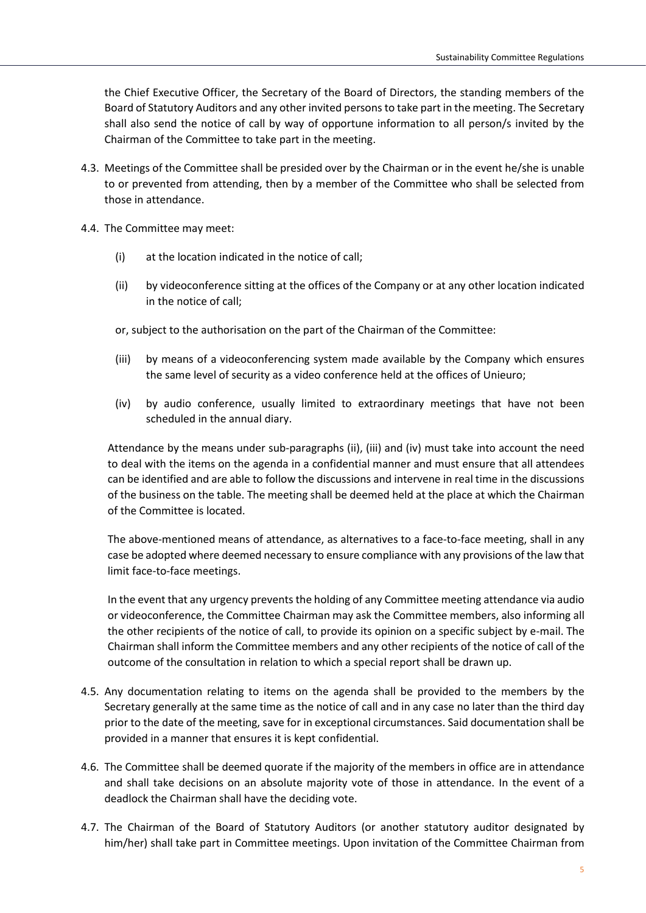the Chief Executive Officer, the Secretary of the Board of Directors, the standing members of the Board of Statutory Auditors and any other invited persons to take part in the meeting. The Secretary shall also send the notice of call by way of opportune information to all person/s invited by the Chairman of the Committee to take part in the meeting.

- 4.3. Meetings of the Committee shall be presided over by the Chairman or in the event he/she is unable to or prevented from attending, then by a member of the Committee who shall be selected from those in attendance.
- 4.4. The Committee may meet:
	- (i) at the location indicated in the notice of call;
	- (ii) by videoconference sitting at the offices of the Company or at any other location indicated in the notice of call;
	- or, subject to the authorisation on the part of the Chairman of the Committee:
	- (iii) by means of a videoconferencing system made available by the Company which ensures the same level of security as a video conference held at the offices of Unieuro;
	- (iv) by audio conference, usually limited to extraordinary meetings that have not been scheduled in the annual diary.

Attendance by the means under sub-paragraphs (ii), (iii) and (iv) must take into account the need to deal with the items on the agenda in a confidential manner and must ensure that all attendees can be identified and are able to follow the discussions and intervene in real time in the discussions of the business on the table. The meeting shall be deemed held at the place at which the Chairman of the Committee is located.

The above-mentioned means of attendance, as alternatives to a face-to-face meeting, shall in any case be adopted where deemed necessary to ensure compliance with any provisions of the law that limit face-to-face meetings.

In the event that any urgency prevents the holding of any Committee meeting attendance via audio or videoconference, the Committee Chairman may ask the Committee members, also informing all the other recipients of the notice of call, to provide its opinion on a specific subject by e-mail. The Chairman shall inform the Committee members and any other recipients of the notice of call of the outcome of the consultation in relation to which a special report shall be drawn up.

- 4.5. Any documentation relating to items on the agenda shall be provided to the members by the Secretary generally at the same time as the notice of call and in any case no later than the third day prior to the date of the meeting, save for in exceptional circumstances. Said documentation shall be provided in a manner that ensures it is kept confidential.
- 4.6. The Committee shall be deemed quorate if the majority of the members in office are in attendance and shall take decisions on an absolute majority vote of those in attendance. In the event of a deadlock the Chairman shall have the deciding vote.
- 4.7. The Chairman of the Board of Statutory Auditors (or another statutory auditor designated by him/her) shall take part in Committee meetings. Upon invitation of the Committee Chairman from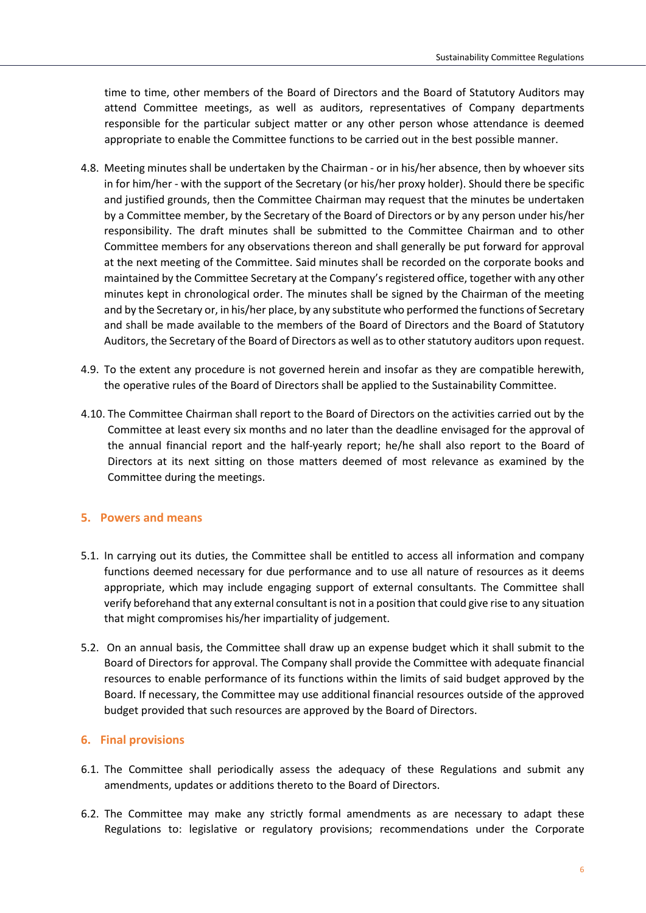time to time, other members of the Board of Directors and the Board of Statutory Auditors may attend Committee meetings, as well as auditors, representatives of Company departments responsible for the particular subject matter or any other person whose attendance is deemed appropriate to enable the Committee functions to be carried out in the best possible manner.

- 4.8. Meeting minutes shall be undertaken by the Chairman or in his/her absence, then by whoever sits in for him/her - with the support of the Secretary (or his/her proxy holder). Should there be specific and justified grounds, then the Committee Chairman may request that the minutes be undertaken by a Committee member, by the Secretary of the Board of Directors or by any person under his/her responsibility. The draft minutes shall be submitted to the Committee Chairman and to other Committee members for any observations thereon and shall generally be put forward for approval at the next meeting of the Committee. Said minutes shall be recorded on the corporate books and maintained by the Committee Secretary at the Company's registered office, together with any other minutes kept in chronological order. The minutes shall be signed by the Chairman of the meeting and by the Secretary or, in his/her place, by any substitute who performed the functions of Secretary and shall be made available to the members of the Board of Directors and the Board of Statutory Auditors, the Secretary of the Board of Directors as well as to other statutory auditors upon request.
- 4.9. To the extent any procedure is not governed herein and insofar as they are compatible herewith, the operative rules of the Board of Directors shall be applied to the Sustainability Committee.
- 4.10. The Committee Chairman shall report to the Board of Directors on the activities carried out by the Committee at least every six months and no later than the deadline envisaged for the approval of the annual financial report and the half-yearly report; he/he shall also report to the Board of Directors at its next sitting on those matters deemed of most relevance as examined by the Committee during the meetings.

## **5. Powers and means**

- 5.1. In carrying out its duties, the Committee shall be entitled to access all information and company functions deemed necessary for due performance and to use all nature of resources as it deems appropriate, which may include engaging support of external consultants. The Committee shall verify beforehand that any external consultant is not in a position that could give rise to any situation that might compromises his/her impartiality of judgement.
- 5.2. On an annual basis, the Committee shall draw up an expense budget which it shall submit to the Board of Directors for approval. The Company shall provide the Committee with adequate financial resources to enable performance of its functions within the limits of said budget approved by the Board. If necessary, the Committee may use additional financial resources outside of the approved budget provided that such resources are approved by the Board of Directors.

## **6. Final provisions**

- 6.1. The Committee shall periodically assess the adequacy of these Regulations and submit any amendments, updates or additions thereto to the Board of Directors.
- 6.2. The Committee may make any strictly formal amendments as are necessary to adapt these Regulations to: legislative or regulatory provisions; recommendations under the Corporate